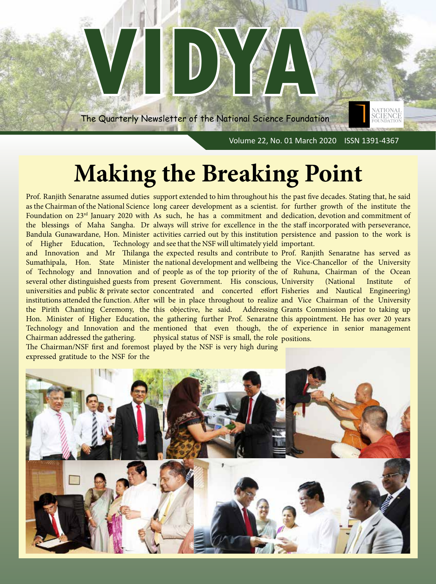

# **Making the Breaking Point**

of Higher Education, Technology and see that the NSF will ultimately yield important. Chairman addressed the gathering. The Chairman/NSF first and foremost played by the NSF is very high during expressed gratitude to the NSF for the

physical status of NSF is small, the role positions.

Prof. Ranjith Senaratne assumed duties support extended to him throughout his the past five decades. Stating that, he said as the Chairman of the National Science long career development as a scientist. for further growth of the institute the Foundation on 23<sup>rd</sup> January 2020 with As such, he has a commitment and dedication, devotion and commitment of the blessings of Maha Sangha. Dr always will strive for excellence in the the staff incorporated with perseverance, Bandula Gunawardane, Hon. Minister activities carried out by this institution persistence and passion to the work is

and Innovation and Mr Thilanga the expected results and contribute to Prof. Ranjith Senaratne has served as Sumathipala, Hon. State Minister the national development and wellbeing the Vice-Chancellor of the University of Technology and Innovation and of people as of the top priority of the of Ruhuna, Chairman of the Ocean several other distinguished guests from present Government. His conscious, University (National Institute of universities and public & private sector concentrated and concerted effort Fisheries and Nautical Engineering) institutions attended the function. After will be in place throughout to realize and Vice Chairman of the University the Pirith Chanting Ceremony, the this objective, he said. Addressing Grants Commission prior to taking up Hon. Minister of Higher Education, the gathering further Prof. Senaratne this appointment. He has over 20 years Technology and Innovation and the mentioned that even though, the of experience in senior management

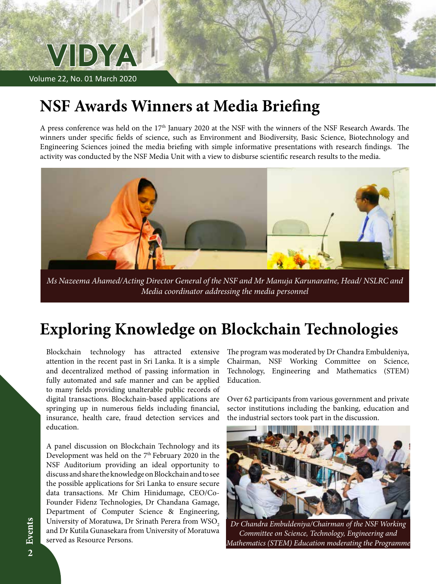

# **NSF Awards Winners at Media Briefing**

A press conference was held on the 17<sup>th</sup> January 2020 at the NSF with the winners of the NSF Research Awards. The winners under specific fields of science, such as Environment and Biodiversity, Basic Science, Biotechnology and Engineering Sciences joined the media briefing with simple informative presentations with research findings. The activity was conducted by the NSF Media Unit with a view to disburse scientific research results to the media.



*Ms Nazeema Ahamed/Acting Director General of the NSF and Mr Manuja Karunaratne, Head/ NSLRC and Media coordinator addressing the media personnel*

### **Exploring Knowledge on Blockchain Technologies**

Blockchain technology has attracted extensive attention in the recent past in Sri Lanka. It is a simple and decentralized method of passing information in fully automated and safe manner and can be applied to many fields providing unalterable public records of digital transactions. Blockchain-based applications are springing up in numerous fields including financial, insurance, health care, fraud detection services and education.

A panel discussion on Blockchain Technology and its Development was held on the 7<sup>th</sup> February 2020 in the NSF Auditorium providing an ideal opportunity to discuss and share the knowledge on Blockchain and to see the possible applications for Sri Lanka to ensure secure data transactions. Mr Chim Hinidumage, CEO/Co-Founder Fidenz Technologies, Dr Chandana Gamage, Department of Computer Science & Engineering, University of Moratuwa, Dr Srinath Perera from WSO<sub>2</sub> and Dr Kutila Gunasekara from University of Moratuwa served as Resource Persons.

The program was moderated by Dr Chandra Embuldeniya, Chairman, NSF Working Committee on Science, Technology, Engineering and Mathematics (STEM) Education.

Over 62 participants from various government and private sector institutions including the banking, education and the industrial sectors took part in the discussion.



*Dr Chandra Embuldeniya/Chairman of the NSF Working Committee on Science, Technology, Engineering and Mathematics (STEM) Education moderating the Programme*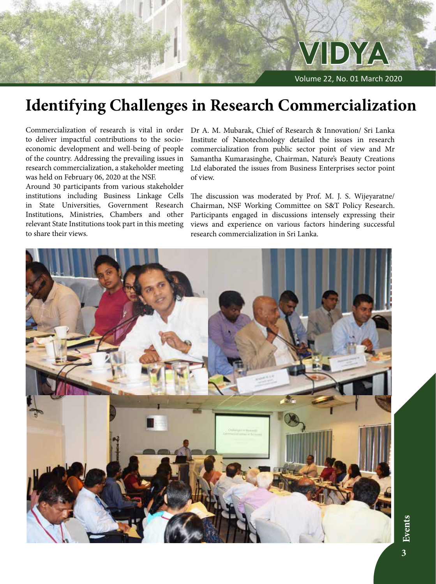

# **Identifying Challenges in Research Commercialization**

Commercialization of research is vital in order to deliver impactful contributions to the socioeconomic development and well-being of people of the country. Addressing the prevailing issues in research commercialization, a stakeholder meeting was held on February 06, 2020 at the NSF.

Around 30 participants from various stakeholder institutions including Business Linkage Cells in State Universities, Government Research Institutions, Ministries, Chambers and other relevant State Institutions took part in this meeting to share their views.

Dr A. M. Mubarak, Chief of Research & Innovation/ Sri Lanka Institute of Nanotechnology detailed the issues in research commercialization from public sector point of view and Mr Samantha Kumarasinghe, Chairman, Nature's Beauty Creations Ltd elaborated the issues from Business Enterprises sector point of view.

The discussion was moderated by Prof. M. J. S. Wijeyaratne/ Chairman, NSF Working Committee on S&T Policy Research. Participants engaged in discussions intensely expressing their views and experience on various factors hindering successful research commercialization in Sri Lanka.

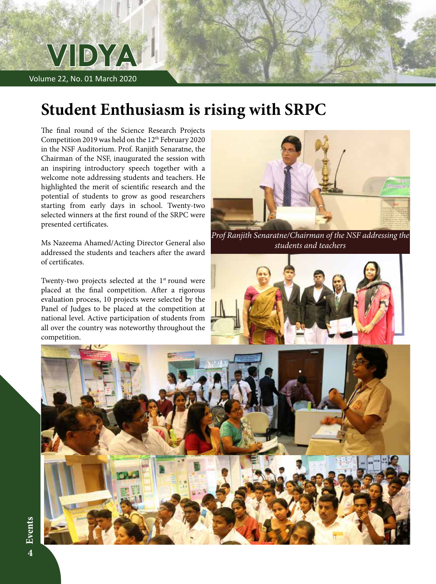

# **Student Enthusiasm is rising with SRPC**

The final round of the Science Research Projects Competition 2019 was held on the 12<sup>th</sup> February 2020 in the NSF Auditorium. Prof. Ranjith Senaratne, the Chairman of the NSF, inaugurated the session with an inspiring introductory speech together with a welcome note addressing students and teachers. He highlighted the merit of scientific research and the potential of students to grow as good researchers starting from early days in school. Twenty-two selected winners at the first round of the SRPC were presented certificates.

Ms Nazeema Ahamed/Acting Director General also addressed the students and teachers after the award of certificates.

Twenty-two projects selected at the  $1<sup>st</sup>$  round were placed at the final competition. After a rigorous evaluation process, 10 projects were selected by the Panel of Judges to be placed at the competition at national level. Active participation of students from all over the country was noteworthy throughout the competition.



*Prof Ranjith Senaratne/Chairman of the NSF addressing the students and teachers*



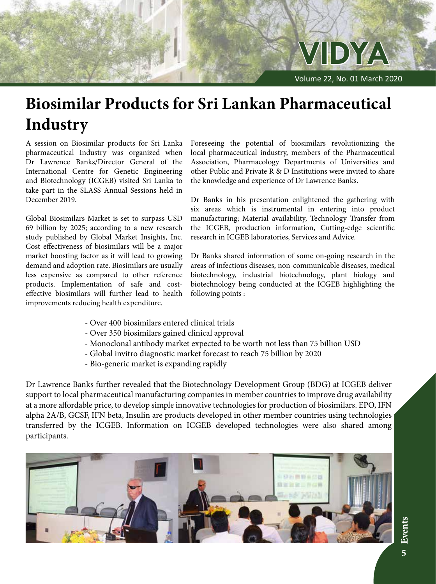

# **Biosimilar Products for Sri Lankan Pharmaceutical Industry**

A session on Biosimilar products for Sri Lanka pharmaceutical Industry was organized when Dr Lawrence Banks/Director General of the International Centre for Genetic Engineering and Biotechnology (ICGEB) visited Sri Lanka to take part in the SLASS Annual Sessions held in December 2019.

Global Biosimilars Market is set to surpass USD 69 billion by 2025; according to a new research study published by Global Market Insights, Inc. Cost effectiveness of biosimilars will be a major market boosting factor as it will lead to growing demand and adoption rate. Biosimilars are usually less expensive as compared to other reference products. Implementation of safe and costeffective biosimilars will further lead to health improvements reducing health expenditure.

Foreseeing the potential of biosimilars revolutionizing the local pharmaceutical industry, members of the Pharmaceutical Association, Pharmacology Departments of Universities and other Public and Private R & D Institutions were invited to share the knowledge and experience of Dr Lawrence Banks.

Dr Banks in his presentation enlightened the gathering with six areas which is instrumental in entering into product manufacturing; Material availability, Technology Transfer from the ICGEB, production information, Cutting-edge scientific research in ICGEB laboratories, Services and Advice.

Dr Banks shared information of some on-going research in the areas of infectious diseases, non-communicable diseases, medical biotechnology, industrial biotechnology, plant biology and biotechnology being conducted at the ICGEB highlighting the following points :

- Over 400 biosimilars entered clinical trials
- Over 350 biosimilars gained clinical approval
- Monoclonal antibody market expected to be worth not less than 75 billion USD
- Global invitro diagnostic market forecast to reach 75 billion by 2020
- Bio-generic market is expanding rapidly

Dr Lawrence Banks further revealed that the Biotechnology Development Group (BDG) at ICGEB deliver support to local pharmaceutical manufacturing companies in member countries to improve drug availability at a more affordable price, to develop simple innovative technologies for production of biosimilars. EPO, IFN alpha 2A/B, GCSF, IFN beta, Insulin are products developed in other member countries using technologies transferred by the ICGEB. Information on ICGEB developed technologies were also shared among participants.

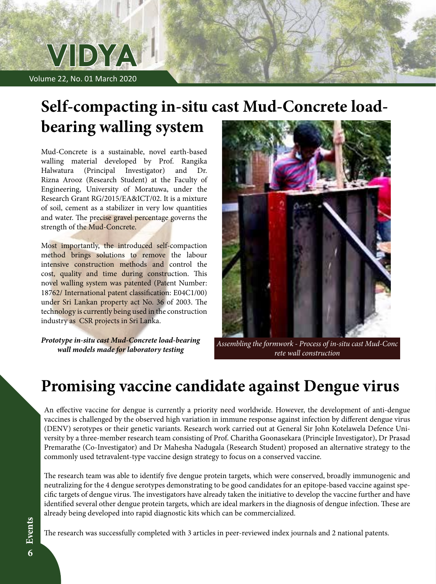

# **Self-compacting in-situ cast Mud-Concrete loadbearing walling system**

Mud-Concrete is a sustainable, novel earth-based walling material developed by Prof. Rangika Halwatura (Principal Investigator) and Dr. Rizna Arooz (Research Student) at the Faculty of Engineering, University of Moratuwa, under the Research Grant RG/2015/EA&ICT/02. It is a mixture of soil, cement as a stabilizer in very low quantities and water. The precise gravel percentage governs the strength of the Mud-Concrete.

Most importantly, the introduced self-compaction method brings solutions to remove the labour intensive construction methods and control the cost, quality and time during construction. This novel walling system was patented (Patent Number: 18762/ International patent classification: E04C1/00) under Sri Lankan property act No. 36 of 2003. The technology is currently being used in the construction industry as CSR projects in Sri Lanka.

*Prototype in-situ cast Mud-Concrete load-bearing wall models made for laboratory testing*



*Assembling the formwork - Process of in-situ cast Mud-Conc rete wall construction*

### **Promising vaccine candidate against Dengue virus**

An effective vaccine for dengue is currently a priority need worldwide. However, the development of anti-dengue vaccines is challenged by the observed high variation in immune response against infection by different dengue virus (DENV) serotypes or their genetic variants. Research work carried out at General Sir John Kotelawela Defence University by a three-member research team consisting of Prof. Charitha Goonasekara (Principle Investigator), Dr Prasad Premarathe (Co-Investigator) and Dr Mahesha Nadugala (Research Student) proposed an alternative strategy to the commonly used tetravalent-type vaccine design strategy to focus on a conserved vaccine.

The research team was able to identify five dengue protein targets, which were conserved, broadly immunogenic and neutralizing for the 4 dengue serotypes demonstrating to be good candidates for an epitope-based vaccine against specific targets of dengue virus. The investigators have already taken the initiative to develop the vaccine further and have identified several other dengue protein targets, which are ideal markers in the diagnosis of dengue infection. These are already being developed into rapid diagnostic kits which can be commercialized.

The research was successfully completed with 3 articles in peer-reviewed index journals and 2 national patents.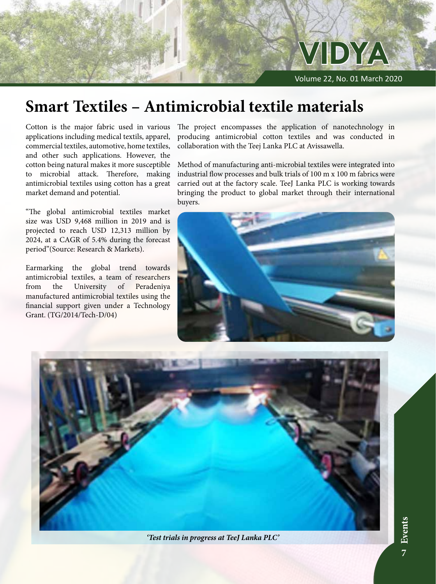

# **Smart Textiles – Antimicrobial textile materials**

Cotton is the major fabric used in various applications including medical textils, apparel, commercial textiles, automotive, home textiles, and other such applications. However, the cotton being natural makes it more susceptible to microbial attack. Therefore, making antimicrobial textiles using cotton has a great market demand and potential.

"The global antimicrobial textiles market size was USD 9,468 million in 2019 and is projected to reach USD 12,313 million by 2024, at a CAGR of 5.4% during the forecast period"(Source: Research & Markets).

Earmarking the global trend towards antimicrobial textiles, a team of researchers from the University of Peradeniya manufactured antimicrobial textiles using the financial support given under a Technology Grant. (TG/2014/Tech-D/04)

The project encompasses the application of nanotechnology in producing antimicrobial cotton textiles and was conducted in collaboration with the Teej Lanka PLC at Avissawella.

Method of manufacturing anti-microbial textiles were integrated into industrial flow processes and bulk trials of 100 m x 100 m fabrics were carried out at the factory scale. TeeJ Lanka PLC is working towards bringing the product to global market through their international buyers.





*'Test trials in progress at TeeJ Lanka PLC'*